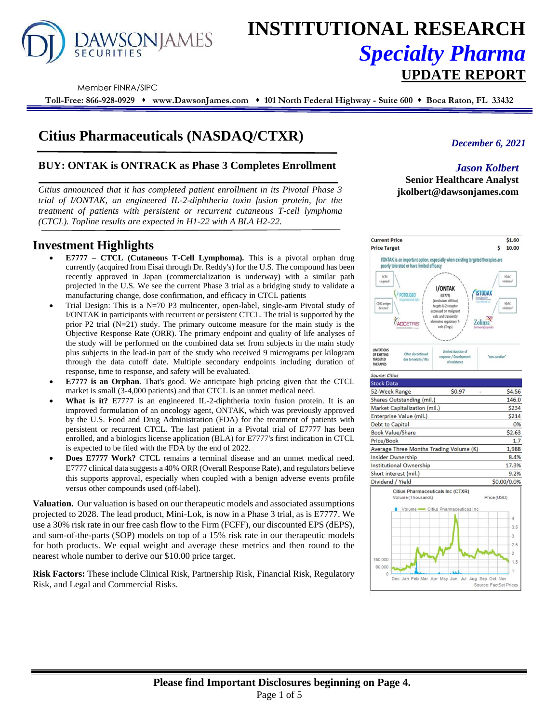

# **INSTITUTIONAL RESEARCH** *Specialty Pharma*  **UPDATE REPORT**

Member FINRA/SIPC

**Toll-Free: 866-928-0929** ⬧ **www.DawsonJames.com** ⬧ **101 North Federal Highway - Suite 600** ⬧ **Boca Raton, FL 33432**

# **Citius Pharmaceuticals (NASDAQ/CTXR)**

## **BUY: ONTAK is ONTRACK as Phase 3 Completes Enrollment**

*Citius announced that it has completed patient enrollment in its Pivotal Phase 3 trial of I/ONTAK, an engineered IL-2-diphtheria toxin fusion protein, for the treatment of patients with persistent or recurrent cutaneous T-cell lymphoma (CTCL). Topline results are expected in H1-22 with A BLA H2-22.* 

# **Investment Highlights**

- **E7777 – CTCL (Cutaneous T-Cell Lymphoma).** This is a pivotal orphan drug currently (acquired from Eisai through Dr. Reddy's) for the U.S. The compound has been recently approved in Japan (commercialization is underway) with a similar path projected in the U.S. We see the current Phase 3 trial as a bridging study to validate a manufacturing change, dose confirmation, and efficacy in CTCL patients
- Trial Design: This is a  $N=70$  P3 multicenter, open-label, single-arm Pivotal study of I/ONTAK in participants with recurrent or persistent CTCL. The trial is supported by the prior P2 trial (N=21) study. The primary outcome measure for the main study is the Objective Response Rate (ORR). The primary endpoint and quality of life analyses of the study will be performed on the combined data set from subjects in the main study plus subjects in the lead-in part of the study who received 9 micrograms per kilogram through the data cutoff date. Multiple secondary endpoints including duration of response, time to response, and safety will be evaluated.
- **E7777 is an Orphan**. That's good. We anticipate high pricing given that the CTCL market is small (3-4,000 patients) and that CTCL is an unmet medical need.
- What is it? E7777 is an engineered IL-2-diphtheria toxin fusion protein. It is an improved formulation of an oncology agent, ONTAK, which was previously approved by the U.S. Food and Drug Administration (FDA) for the treatment of patients with persistent or recurrent CTCL. The last patient in a Pivotal trial of E7777 has been enrolled, and a biologics license application (BLA) for E7777's first indication in CTCL is expected to be filed with the FDA by the end of 2022.
- **Does E7777 Work?** CTCL remains a terminal disease and an unmet medical need. E7777 clinical data suggests a 40% ORR (Overall Response Rate), and regulators believe this supports approval, especially when coupled with a benign adverse events profile versus other compounds used (off-label).

**Valuation.** Our valuation is based on our therapeutic models and associated assumptions projected to 2028. The lead product, Mini-Lok, is now in a Phase 3 trial, as is E7777. We use a 30% risk rate in our free cash flow to the Firm (FCFF), our discounted EPS (dEPS), and sum-of-the-parts (SOP) models on top of a 15% risk rate in our therapeutic models for both products. We equal weight and average these metrics and then round to the nearest whole number to derive our \$10.00 price target.

**Risk Factors:** These include Clinical Risk, Partnership Risk, Financial Risk, Regulatory Risk, and Legal and Commercial Risks.

## *December 6, 2021*

#### *Jason Kolbert* **Senior Healthcare Analyst jkolbert@dawsonjames.com**

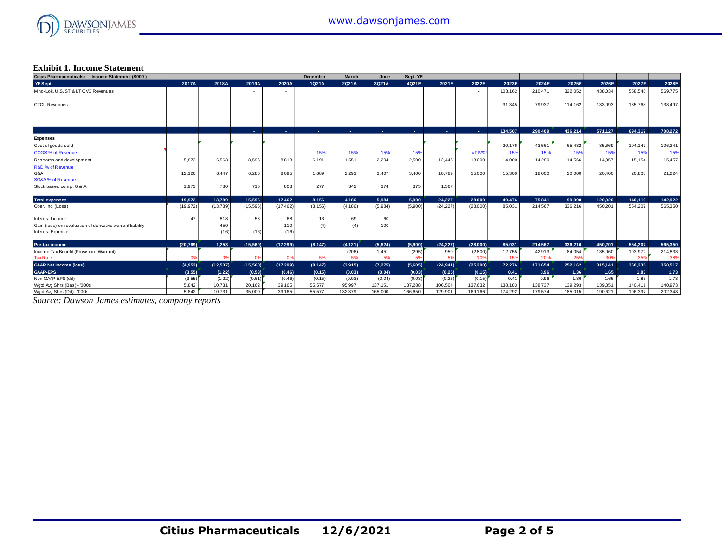

#### **Exhibit 1. Income Statement**

| Citius Pharmaceuticals: Income Statement (\$000)           |           |           |                |           | December | <b>March</b> | June           | Sept. YE                 |                          |                |         |         |         |         |         |         |
|------------------------------------------------------------|-----------|-----------|----------------|-----------|----------|--------------|----------------|--------------------------|--------------------------|----------------|---------|---------|---------|---------|---------|---------|
| YE Sept.                                                   | 2017A     | 2018A     | 2019A          | 2020A     | 1Q21A    | 2Q21A        | 3Q21A          | 4Q21E                    | 2021E                    | 2022E          | 2023E   | 2024E   | 2025E   | 2026E   | 2027E   | 2028E   |
| Mino-Lok, U.S. ST & LT CVC Revenues                        |           |           |                |           |          |              |                |                          |                          | $\sim$         | 103.162 | 210,471 | 322,052 | 438,034 | 558,548 | 569,775 |
| <b>CTCL Revenues</b>                                       |           |           | $\sim$         |           |          |              |                |                          |                          | $\sim$         | 31.345  | 79.937  | 114.162 | 133.093 | 135,768 | 138,497 |
|                                                            |           |           |                |           |          |              |                |                          |                          |                |         |         |         |         |         |         |
|                                                            |           |           | <b>Section</b> | ×.        |          | х.           | <b>Section</b> | <b>ALC</b>               | . .                      | <b>Section</b> | 134.507 | 290.409 | 436.214 | 571.127 | 694.317 | 708.272 |
| Expenses                                                   |           |           |                |           |          |              |                |                          |                          |                |         |         |         |         |         |         |
| Cost of goods sold                                         |           | $\sim$    | $\sim$         |           |          |              | $\sim$         | $\overline{\phantom{a}}$ | $\overline{\phantom{a}}$ | $\sim$         | 20,176  | 43,561  | 65,432  | 85,669  | 104,147 | 106,241 |
| <b>COGS % of Revenue</b>                                   |           |           |                |           | 15%      | 15%          | 15%            | 15%                      |                          | #DIV/0         | 15%     | 15%     | 15%     | 15%     | 15%     | 15%     |
| Research and development                                   | 5.873     | 6.563     | 8.596          | 8.813     | 6.191    | 1,551        | 2,204          | 2,500                    | 12,446                   | 13,000         | 14.000  | 14.280  | 14,566  | 14.857  | 15,154  | 15,457  |
| R&D % of Revenue                                           |           |           |                |           |          |              |                |                          |                          |                |         |         |         |         |         |         |
| G&A                                                        | 12.126    | 6.447     | 6.285          | 8.095     | 1.689    | 2.293        | 3,407          | 3.400                    | 10.789                   | 15,000         | 15,300  | 18,000  | 20,000  | 20,400  | 20,808  | 21,224  |
| SG&A % of Revenue                                          |           |           |                |           |          |              |                |                          |                          |                |         |         |         |         |         |         |
| Stock based comp. G & A                                    | 1.973     | 780       | 715            | 803       | 277      | 342          | 374            | 375                      | 1,367                    |                |         |         |         |         |         |         |
| <b>Total expenses</b>                                      | 19.972    | 13.789    | 15.596         | 17.462    | 8.156    | 4.186        | 5.984          | 5.900                    | 24.227                   | 28.000         | 49,476  | 75.841  | 99.998  | 120.926 | 140.110 | 142,922 |
| Oper. Inc. (Loss)                                          | (19, 972) | (13,789)  | (15, 596)      | (17, 462) | (8, 156) | (4, 186)     | (5,984)        | (5,900)                  | (24, 227)                | (28,000)       | 85.031  | 214.567 | 336,216 | 450,201 | 554,207 | 565,350 |
| Interest Income                                            | 47        | 818       | 53             | 68        | 13       | 69           | 60             |                          |                          |                |         |         |         |         |         |         |
| Gain (loss) on revaluation of derivative warrant liability |           | 450       |                | 110       | (4)      | (4)          | 100            |                          |                          |                |         |         |         |         |         |         |
| Interest Expense                                           |           | (16)      | (16)           | (16)      |          |              |                |                          |                          |                |         |         |         |         |         |         |
| <b>Pre-tax income</b>                                      | (20.769)  | 1.253     | (15, 560)      | (17.299)  | (8, 147) | (4, 121)     | (5,824)        | (5,900)                  | (24, 227)                | (28.000)       | 85.031  | 214.567 | 336.216 | 450.201 | 554.207 | 565,350 |
| Income Tax Benefit (Provision- Warrant)                    |           | $\sim$    |                |           |          | (206)        | 1,451          | (295)                    | 950                      | (2,800)        | 12,755  | 42,913  | 84,054  | 135,060 | 193,972 | 214,833 |
| <b>Tax Rate</b>                                            | 0%        | 0%        | 0%             | 0%        | 5%       | 5%           | 5%             | 5%                       | 5%                       | 10%            | 15%     | 20%     | 25%     | 30%     | 35%     | 38%     |
| <b>GAAP Net Income (loss)</b>                              | (4,952)   | (12, 537) | (15,560)       | (17, 299) | (8, 147) | (3,915)      | (7, 275)       | (5,605)                  | (24, 941)                | (25, 200)      | 72.276  | 171.654 | 252,162 | 315.141 | 360.235 | 350,517 |
| <b>GAAP-EPS</b>                                            | (3.55)    | (1.22)    | (0.53)         | (0.46)    | (0.15)   | (0.03)       | (0.04)         | (0.03)                   | (0.25)                   | (0.15)         | 0.41    | 0.96    | 1.36    | 1.65    | 1.83    | 1.73    |
| Non GAAP EPS (dil)                                         | (3.55)    | (1.22)    | (0.61)         | (0.46)    | (0.15)   | (0.03)       | (0.04)         | (0.03)                   | (0.25)                   | (0.15)         | 0.41    | 0.96    | 1.36    | 1.65    | 1.83    | 1.73    |
| Wgtd Avg Shrs (Bas) - '000s                                | 5,842     | 10,731    | 20,162         | 39,165    | 55,577   | 95,997       | 137,151        | 137,288                  | 106,504                  | 137,632        | 138,183 | 138,737 | 139,293 | 139,851 | 140,411 | 140,973 |
| Watd Ava Shrs (Dil) - '000s                                | 5.842     | 10.731    | 35,000         | 39.165    | 55.577   | 132.379      | 165,000        | 166.650                  | 129.901                  | 169.166        | 174.292 | 179.574 | 185.015 | 190.621 | 196.397 | 202.348 |

*Source: Dawson James estimates, company reports*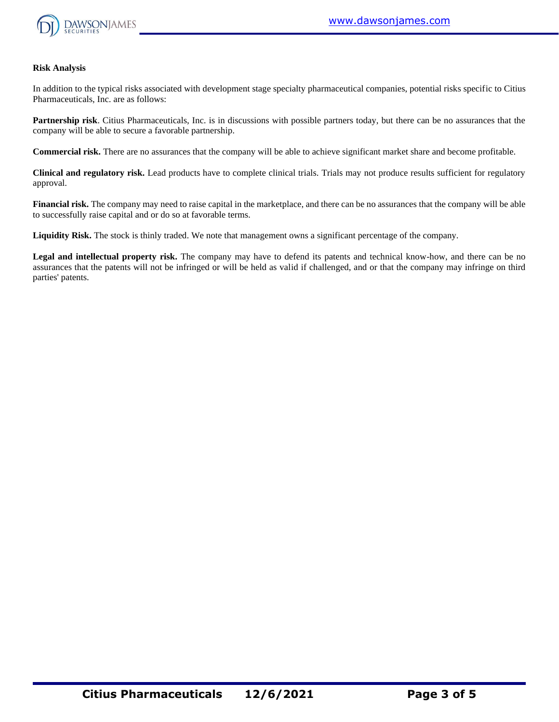

#### **Risk Analysis**

In addition to the typical risks associated with development stage specialty pharmaceutical companies, potential risks specific to Citius Pharmaceuticals, Inc. are as follows:

**Partnership risk**. Citius Pharmaceuticals, Inc. is in discussions with possible partners today, but there can be no assurances that the company will be able to secure a favorable partnership.

**Commercial risk.** There are no assurances that the company will be able to achieve significant market share and become profitable.

**Clinical and regulatory risk.** Lead products have to complete clinical trials. Trials may not produce results sufficient for regulatory approval.

**Financial risk.** The company may need to raise capital in the marketplace, and there can be no assurances that the company will be able to successfully raise capital and or do so at favorable terms.

**Liquidity Risk.** The stock is thinly traded. We note that management owns a significant percentage of the company.

**Legal and intellectual property risk.** The company may have to defend its patents and technical know-how, and there can be no assurances that the patents will not be infringed or will be held as valid if challenged, and or that the company may infringe on third parties' patents.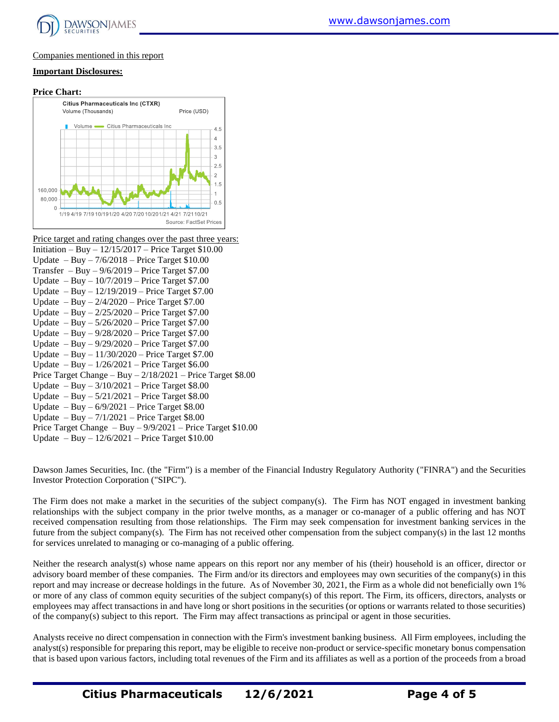

#### Companies mentioned in this report

#### **Important Disclosures:**

#### **Price Chart:**



| Price target and rating changes over the past three years:      |
|-----------------------------------------------------------------|
| Initiation – Buy – $12/15/2017$ – Price Target \$10.00          |
| Update $-$ Buy $- 7/6/2018$ – Price Target \$10.00              |
| Transfer $-$ Buy $-$ 9/6/2019 – Price Target \$7.00             |
| Update $-$ Buy $-$ 10/7/2019 $-$ Price Target \$7.00            |
| Update $-$ Buy $-$ 12/19/2019 – Price Target \$7.00             |
| Update $-$ Buy $- 2/4/2020$ – Price Target \$7.00               |
| Update $-$ Buy $- 2/25/2020$ – Price Target \$7.00              |
| Update $-$ Buy $-$ 5/26/2020 $-$ Price Target \$7.00            |
| Update $-$ Buy $-$ 9/28/2020 $-$ Price Target \$7.00            |
| Update $-$ Buy $-$ 9/29/2020 – Price Target \$7.00              |
| Update $-$ Buy $-$ 11/30/2020 $-$ Price Target \$7.00           |
| Update $-$ Buy $-$ 1/26/2021 $-$ Price Target \$6.00            |
| Price Target Change - Buy $-2/18/2021$ - Price Target \$8.00    |
| Update $-$ Buy $-$ 3/10/2021 $-$ Price Target \$8.00            |
| Update $-$ Buy $-$ 5/21/2021 $-$ Price Target \$8.00            |
| Update $-$ Buy $-$ 6/9/2021 $-$ Price Target \$8.00             |
| Update $-$ Buy $-$ 7/1/2021 $-$ Price Target \$8.00             |
| Price Target Change $-$ Buy $-$ 9/9/2021 – Price Target \$10.00 |
| Update $-$ Buy $-$ 12/6/2021 – Price Target \$10.00             |

Dawson James Securities, Inc. (the "Firm") is a member of the Financial Industry Regulatory Authority ("FINRA") and the Securities Investor Protection Corporation ("SIPC").

The Firm does not make a market in the securities of the subject company(s). The Firm has NOT engaged in investment banking relationships with the subject company in the prior twelve months, as a manager or co-manager of a public offering and has NOT received compensation resulting from those relationships. The Firm may seek compensation for investment banking services in the future from the subject company(s). The Firm has not received other compensation from the subject company(s) in the last 12 months for services unrelated to managing or co-managing of a public offering.

Neither the research analyst(s) whose name appears on this report nor any member of his (their) household is an officer, director or advisory board member of these companies. The Firm and/or its directors and employees may own securities of the company(s) in this report and may increase or decrease holdings in the future. As of November 30, 2021, the Firm as a whole did not beneficially own 1% or more of any class of common equity securities of the subject company(s) of this report. The Firm, its officers, directors, analysts or employees may affect transactions in and have long or short positions in the securities (or options or warrants related to those securities) of the company(s) subject to this report. The Firm may affect transactions as principal or agent in those securities.

Analysts receive no direct compensation in connection with the Firm's investment banking business. All Firm employees, including the analyst(s) responsible for preparing this report, may be eligible to receive non-product or service-specific monetary bonus compensation that is based upon various factors, including total revenues of the Firm and its affiliates as well as a portion of the proceeds from a broad